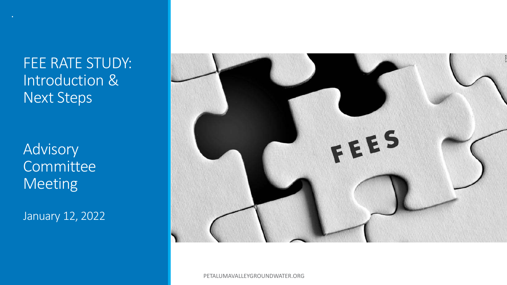FEE RATE STUDY: Introduction & Next Steps

Advisory Committee Meeting

January 12, 2022



PETALUMAVALLEYGROUNDWATER.ORG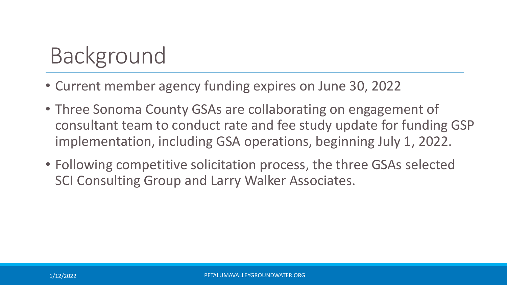# Background

- Current member agency funding expires on June 30, 2022
- Three Sonoma County GSAs are collaborating on engagement of consultant team to conduct rate and fee study update for funding GSP implementation, including GSA operations, beginning July 1, 2022.
- Following competitive solicitation process, the three GSAs selected SCI Consulting Group and Larry Walker Associates.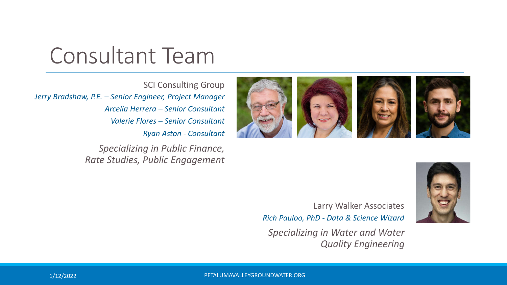## Consultant Team

SCI Consulting Group *Jerry Bradshaw, P.E. – Senior Engineer, Project Manager Arcelia Herrera – Senior Consultant Valerie Flores – Senior Consultant Ryan Aston - Consultant*

> *Specializing in Public Finance, Rate Studies, Public Engagement*





Larry Walker Associates *Rich Pauloo, PhD - Data & Science Wizard*

*Specializing in Water and Water Quality Engineering*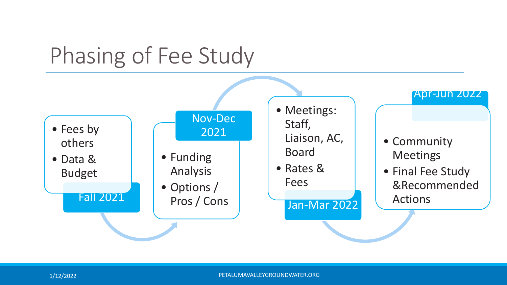## Phasing of Fee Study

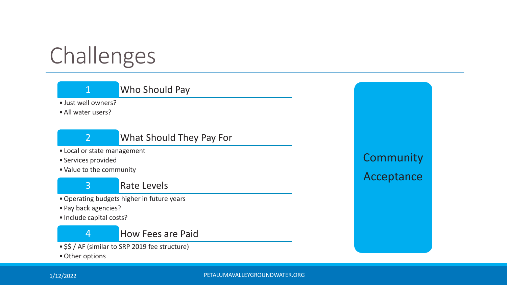# Challenges

## 1 Who Should Pay

• Just well owners?

• All water users?



### 2 What Should They Pay For

- Local or state management
- Services provided
- Value to the community

3 Rate Levels

- •Operating budgets higher in future years
- Pay back agencies?
- Include capital costs?

### 4 How Fees are Paid

- \$\$ / AF (similar to SRP 2019 fee structure)
- •Other options

## **Community** Acceptance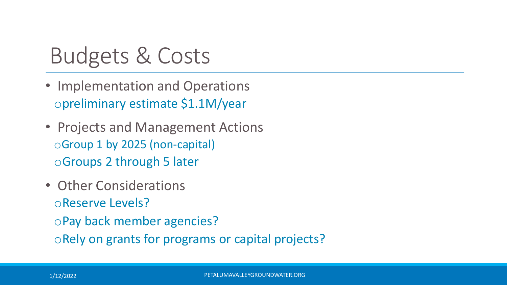## Budgets & Costs

- Implementation and Operations opreliminary estimate \$1.1M/year
- Projects and Management Actions oGroup 1 by 2025 (non-capital) oGroups 2 through 5 later
- Other Considerations oReserve Levels? oPay back member agencies? oRely on grants for programs or capital projects?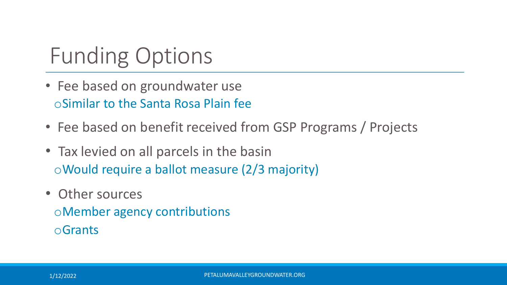# Funding Options

- Fee based on groundwater use oSimilar to the Santa Rosa Plain fee
- Fee based on benefit received from GSP Programs / Projects
- Tax levied on all parcels in the basin oWould require a ballot measure (2/3 majority)
- Other sources oMember agency contributions oGrants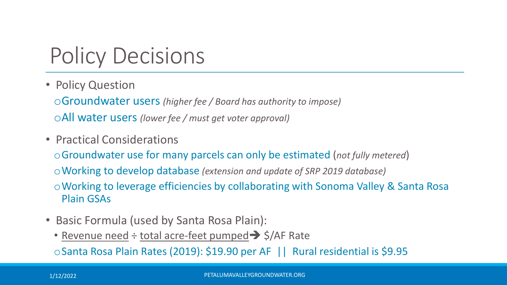# Policy Decisions

• Policy Question

oGroundwater users *(higher fee / Board has authority to impose)* oAll water users *(lower fee / must get voter approval)*

• Practical Considerations

oGroundwater use for many parcels can only be estimated (*not fully metered*)

oWorking to develop database *(extension and update of SRP 2019 database)*

oWorking to leverage efficiencies by collaborating with Sonoma Valley & Santa Rosa Plain GSAs

- Basic Formula (used by Santa Rosa Plain):
	- Revenue need  $\div$  total acre-feet pumped  $\rightarrow$  \$/AF Rate

oSanta Rosa Plain Rates (2019): \$19.90 per AF || Rural residential is \$9.95